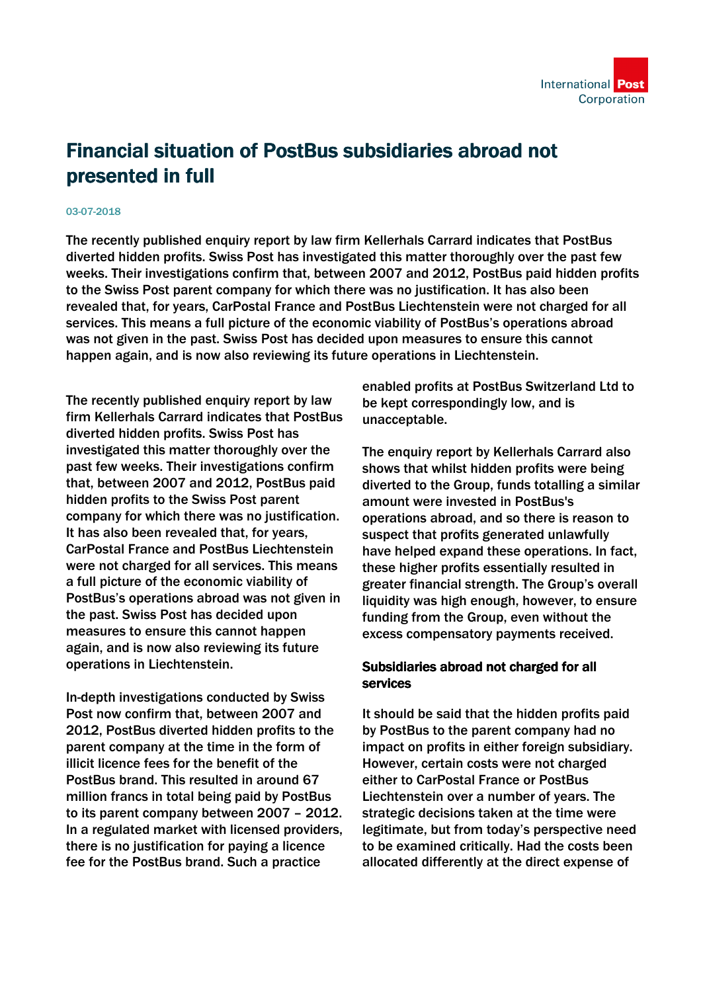

# Financial situation of PostBus subsidiaries abroad not presented in full

#### 03-07-2018

The recently published enquiry report by law firm Kellerhals Carrard indicates that PostBus diverted hidden profits. Swiss Post has investigated this matter thoroughly over the past few weeks. Their investigations confirm that, between 2007 and 2012, PostBus paid hidden profits to the Swiss Post parent company for which there was no justification. It has also been revealed that, for years, CarPostal France and PostBus Liechtenstein were not charged for all services. This means a full picture of the economic viability of PostBus's operations abroad was not given in the past. Swiss Post has decided upon measures to ensure this cannot happen again, and is now also reviewing its future operations in Liechtenstein.

The recently published enquiry report by law firm Kellerhals Carrard indicates that PostBus diverted hidden profits. Swiss Post has investigated this matter thoroughly over the past few weeks. Their investigations confirm that, between 2007 and 2012, PostBus paid hidden profits to the Swiss Post parent company for which there was no justification. It has also been revealed that, for years, CarPostal France and PostBus Liechtenstein were not charged for all services. This means a full picture of the economic viability of PostBus's operations abroad was not given in the past. Swiss Post has decided upon measures to ensure this cannot happen again, and is now also reviewing its future operations in Liechtenstein.

In-depth investigations conducted by Swiss Post now confirm that, between 2007 and 2012, PostBus diverted hidden profits to the parent company at the time in the form of illicit licence fees for the benefit of the PostBus brand. This resulted in around 67 million francs in total being paid by PostBus to its parent company between 2007 – 2012. In a regulated market with licensed providers, there is no justification for paying a licence fee for the PostBus brand. Such a practice

enabled profits at PostBus Switzerland Ltd to be kept correspondingly low, and is unacceptable.

The enquiry report by Kellerhals Carrard also shows that whilst hidden profits were being diverted to the Group, funds totalling a similar amount were invested in PostBus's operations abroad, and so there is reason to suspect that profits generated unlawfully have helped expand these operations. In fact, these higher profits essentially resulted in greater financial strength. The Group's overall liquidity was high enough, however, to ensure funding from the Group, even without the excess compensatory payments received.

## Subsidiaries abroad not charged for all services

It should be said that the hidden profits paid by PostBus to the parent company had no impact on profits in either foreign subsidiary. However, certain costs were not charged either to CarPostal France or PostBus Liechtenstein over a number of years. The strategic decisions taken at the time were legitimate, but from today's perspective need to be examined critically. Had the costs been allocated differently at the direct expense of